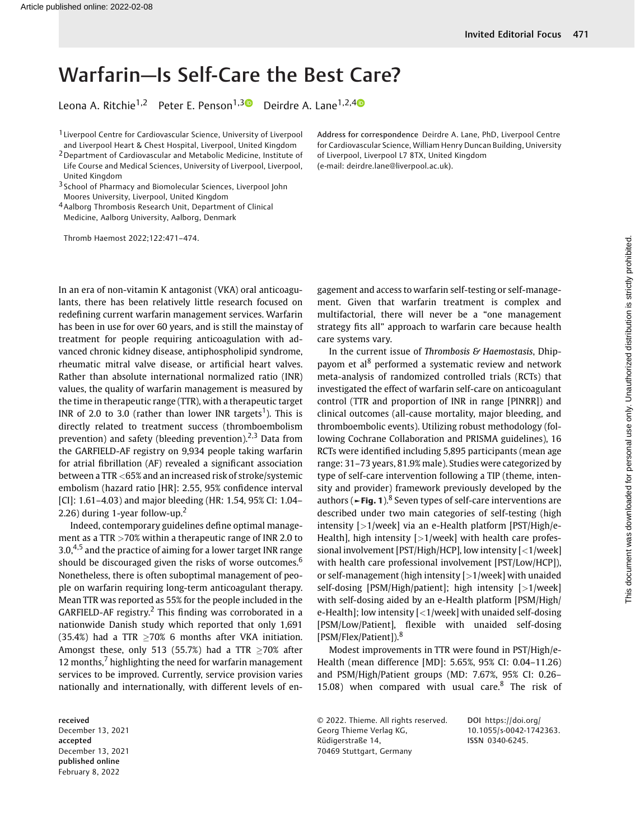## Warfarin—Is Self-Care the Best Care?

Leona A. Ritchie<sup>1,2</sup> Peter E. Penson<sup>1,[3](https://orcid.org/0000-0001-6763-1489)</sup> Deirdre A. Lane<sup>1,2,4</sup>

1 Liverpool Centre for Cardiovascular Science, University of Liverpool and Liverpool Heart & Chest Hospital, Liverpool, United Kingdom

2Department of Cardiovascular and Metabolic Medicine, Institute of Life Course and Medical Sciences, University of Liverpool, Liverpool, United Kingdom

3 School of Pharmacy and Biomolecular Sciences, Liverpool John Moores University, Liverpool, United Kingdom

4Aalborg Thrombosis Research Unit, Department of Clinical Medicine, Aalborg University, Aalborg, Denmark

Thromb Haemost 2022;122:471–474.

Address for correspondence Deirdre A. Lane, PhD, Liverpool Centre for Cardiovascular Science, William Henry Duncan Building, University of Liverpool, Liverpool L7 8TX, United Kingdom (e-mail: [deirdre.lane@liverpool.ac.uk](mailto:deirdre.lane@liverpool.ac.uk)).

In an era of non-vitamin K antagonist (VKA) oral anticoagulants, there has been relatively little research focused on redefining current warfarin management services. Warfarin has been in use for over 60 years, and is still the mainstay of treatment for people requiring anticoagulation with advanced chronic kidney disease, antiphospholipid syndrome, rheumatic mitral valve disease, or artificial heart valves. Rather than absolute international normalized ratio (INR) values, the quality of warfarin management is measured by the time in therapeutic range (TTR), with a therapeutic target INR of 2.0 to 3.0 (rather than lower INR targets<sup>1</sup>). This is directly related to treatment success (thromboembolism prevention) and safety (bleeding prevention).<sup>2,3</sup> Data from the GARFIELD-AF registry on 9,934 people taking warfarin for atrial fibrillation (AF) revealed a significant association between a TTR <65% and an increased risk of stroke/systemic embolism (hazard ratio [HR]: 2.55, 95% confidence interval [CI]: 1.61–4.03) and major bleeding (HR: 1.54, 95% CI: 1.04– 2.26) during 1-year follow-up.<sup>2</sup>

Indeed, contemporary guidelines define optimal management as a TTR >70% within a therapeutic range of INR 2.0 to  $3.0,4,5$  and the practice of aiming for a lower target INR range should be discouraged given the risks of worse outcomes.<sup>6</sup> Nonetheless, there is often suboptimal management of people on warfarin requiring long-term anticoagulant therapy. Mean TTR was reported as 55% for the people included in the  $GARFIED-AF$  registry.<sup>2</sup> This finding was corroborated in a nationwide Danish study which reported that only 1,691 (35.4%) had a TTR  $\geq$ 70% 6 months after VKA initiation. Amongst these, only 513 (55.7%) had a TTR  $>70\%$  after 12 months, $<sup>7</sup>$  highlighting the need for warfarin management</sup> services to be improved. Currently, service provision varies nationally and internationally, with different levels of en-

received December 13, 2021 accepted December 13, 2021 published online February 8, 2022

gagement and access to warfarin self-testing or self-management. Given that warfarin treatment is complex and multifactorial, there will never be a "one management strategy fits all" approach to warfarin care because health care systems vary.

In the current issue of Thrombosis & Haemostasis, Dhippayom et al<sup>8</sup> performed a systematic review and network meta-analysis of randomized controlled trials (RCTs) that investigated the effect of warfarin self-care on anticoagulant control (TTR and proportion of INR in range [PINRR]) and clinical outcomes (all-cause mortality, major bleeding, and thromboembolic events). Utilizing robust methodology (following Cochrane Collaboration and PRISMA guidelines), 16 RCTs were identified including 5,895 participants (mean age range: 31–73 years, 81.9% male). Studies were categorized by type of self-care intervention following a TIP (theme, intensity and provider) framework previously developed by the authors ( $\blacktriangleright$  Fig. 1).<sup>8</sup> Seven types of self-care interventions are described under two main categories of self-testing (high intensity [>1/week] via an e-Health platform [PST/High/e-Health], high intensity  $[>1$ /week] with health care professional involvement [PST/High/HCP], low intensity [<1/week] with health care professional involvement [PST/Low/HCP]), or self-management (high intensity [>1/week] with unaided self-dosing [PSM/High/patient]; high intensity [>1/week] with self-dosing aided by an e-Health platform [PSM/High/ e-Health]; low intensity [<1/week] with unaided self-dosing [PSM/Low/Patient], flexible with unaided self-dosing [PSM/Flex/Patient]).<sup>8</sup>

Modest improvements in TTR were found in PST/High/e-Health (mean difference [MD]: 5.65%, 95% CI: 0.04–11.26) and PSM/High/Patient groups (MD: 7.67%, 95% CI: 0.26– 15.08) when compared with usual care. $8$  The risk of

© 2022. Thieme. All rights reserved. Georg Thieme Verlag KG, Rüdigerstraße 14, 70469 Stuttgart, Germany

DOI [https://doi.org/](https://doi.org/10.1055/s-0042-1742363) [10.1055/s-0042-1742363](https://doi.org/10.1055/s-0042-1742363). ISSN 0340-6245.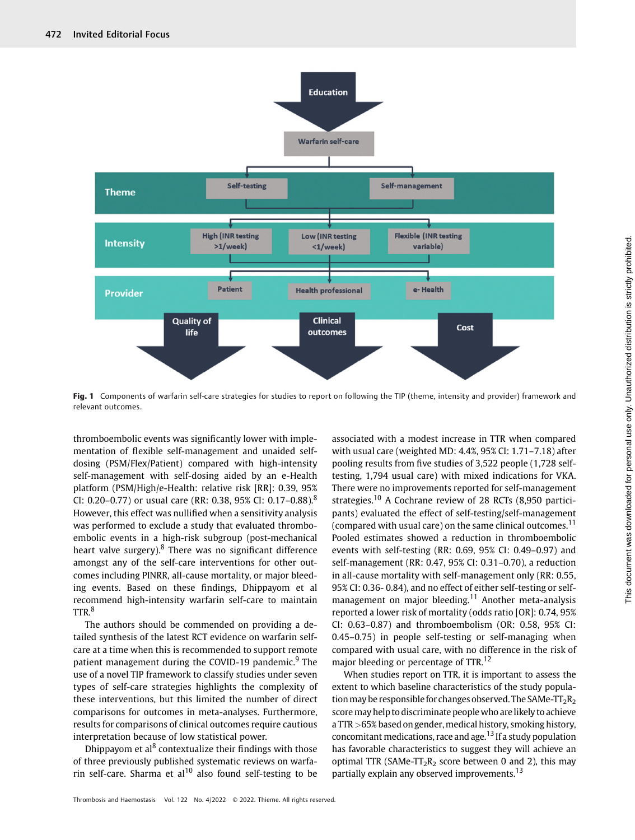

Fig. 1 Components of warfarin self-care strategies for studies to report on following the TIP (theme, intensity and provider) framework and relevant outcomes.

thromboembolic events was significantly lower with implementation of flexible self-management and unaided selfdosing (PSM/Flex/Patient) compared with high-intensity self-management with self-dosing aided by an e-Health platform (PSM/High/e-Health: relative risk [RR]: 0.39, 95% CI: 0.20–0.77) or usual care (RR: 0.38, 95% CI: 0.17–0.88).<sup>8</sup> However, this effect was nullified when a sensitivity analysis was performed to exclude a study that evaluated thromboembolic events in a high-risk subgroup (post-mechanical heart valve surgery). $8$  There was no significant difference amongst any of the self-care interventions for other outcomes including PINRR, all-cause mortality, or major bleeding events. Based on these findings, Dhippayom et al recommend high-intensity warfarin self-care to maintain TTR.<sup>8</sup>

The authors should be commended on providing a detailed synthesis of the latest RCT evidence on warfarin selfcare at a time when this is recommended to support remote patient management during the COVID-19 pandemic.<sup>9</sup> The use of a novel TIP framework to classify studies under seven types of self-care strategies highlights the complexity of these interventions, but this limited the number of direct comparisons for outcomes in meta-analyses. Furthermore, results for comparisons of clinical outcomes require cautious interpretation because of low statistical power.

Dhippayom et al<sup>8</sup> contextualize their findings with those of three previously published systematic reviews on warfarin self-care. Sharma et al<sup>10</sup> also found self-testing to be

associated with a modest increase in TTR when compared with usual care (weighted MD: 4.4%, 95% CI: 1.71–7.18) after pooling results from five studies of 3,522 people (1,728 selftesting, 1,794 usual care) with mixed indications for VKA. There were no improvements reported for self-management strategies.<sup>10</sup> A Cochrane review of 28 RCTs (8,950 participants) evaluated the effect of self-testing/self-management (compared with usual care) on the same clinical outcomes.<sup>11</sup> Pooled estimates showed a reduction in thromboembolic events with self-testing (RR: 0.69, 95% CI: 0.49–0.97) and self-management (RR: 0.47, 95% CI: 0.31–0.70), a reduction in all-cause mortality with self-management only (RR: 0.55, 95% CI: 0.36- 0.84), and no effect of either self-testing or selfmanagement on major bleeding.<sup>11</sup> Another meta-analysis reported a lower risk of mortality (odds ratio [OR]: 0.74, 95% CI: 0.63–0.87) and thromboembolism (OR: 0.58, 95% CI: 0.45–0.75) in people self-testing or self-managing when compared with usual care, with no difference in the risk of major bleeding or percentage of TTR.<sup>12</sup>

When studies report on TTR, it is important to assess the extent to which baseline characteristics of the study population may be responsible for changes observed. The SAMe- $TT_2R_2$ score may help to discriminate people who are likely to achieve a TTR >65% based on gender, medical history, smoking history, concomitant medications, race and age.<sup>13</sup> If a study population has favorable characteristics to suggest they will achieve an optimal TTR (SAMe-TT<sub>2</sub>R<sub>2</sub> score between 0 and 2), this may partially explain any observed improvements.<sup>13</sup>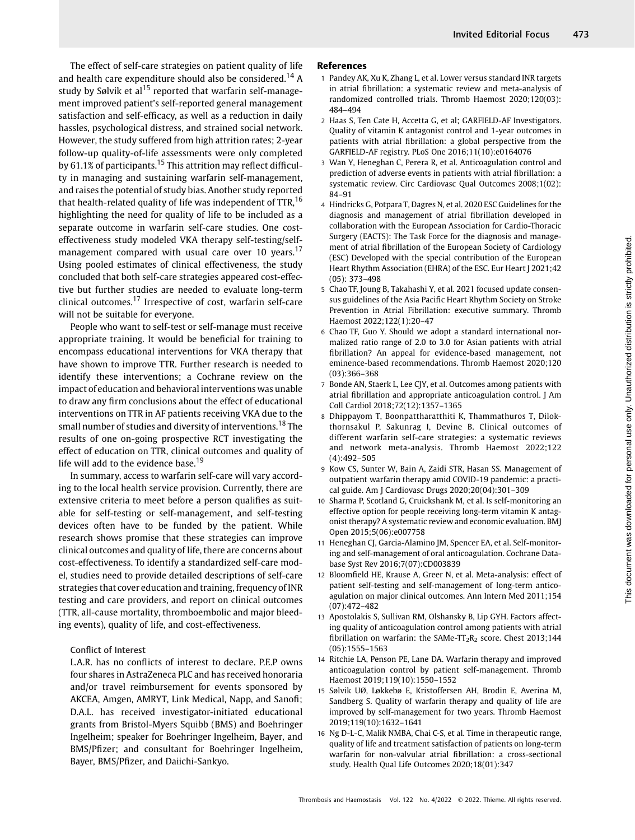The effect of self-care strategies on patient quality of life and health care expenditure should also be considered.<sup>14</sup> A study by Sølvik et al<sup>15</sup> reported that warfarin self-management improved patient's self-reported general management satisfaction and self-efficacy, as well as a reduction in daily hassles, psychological distress, and strained social network. However, the study suffered from high attrition rates; 2-year follow-up quality-of-life assessments were only completed by 61.1% of participants.<sup>15</sup> This attrition may reflect difficulty in managing and sustaining warfarin self-management, and raises the potential of study bias. Another study reported that health-related quality of life was independent of  $TTR$ ,  $^{16}$ highlighting the need for quality of life to be included as a separate outcome in warfarin self-care studies. One costeffectiveness study modeled VKA therapy self-testing/selfmanagement compared with usual care over 10 years.<sup>17</sup> Using pooled estimates of clinical effectiveness, the study concluded that both self-care strategies appeared cost-effective but further studies are needed to evaluate long-term clinical outcomes.<sup>17</sup> Irrespective of cost, warfarin self-care will not be suitable for everyone.

People who want to self-test or self-manage must receive appropriate training. It would be beneficial for training to encompass educational interventions for VKA therapy that have shown to improve TTR. Further research is needed to identify these interventions; a Cochrane review on the impact of education and behavioral interventions was unable to draw any firm conclusions about the effect of educational interventions on TTR in AF patients receiving VKA due to the small number of studies and diversity of interventions.<sup>18</sup> The results of one on-going prospective RCT investigating the effect of education on TTR, clinical outcomes and quality of life will add to the evidence base.<sup>19</sup>

In summary, access to warfarin self-care will vary according to the local health service provision. Currently, there are extensive criteria to meet before a person qualifies as suitable for self-testing or self-management, and self-testing devices often have to be funded by the patient. While research shows promise that these strategies can improve clinical outcomes and quality of life, there are concerns about cost-effectiveness. To identify a standardized self-care model, studies need to provide detailed descriptions of self-care strategies that cover education and training, frequency of INR testing and care providers, and report on clinical outcomes (TTR, all-cause mortality, thromboembolic and major bleeding events), quality of life, and cost-effectiveness.

## Conflict of Interest

L.A.R. has no conflicts of interest to declare. P.E.P owns four shares in AstraZeneca PLC and has received honoraria and/or travel reimbursement for events sponsored by AKCEA, Amgen, AMRYT, Link Medical, Napp, and Sanofi; D.A.L. has received investigator-initiated educational grants from Bristol-Myers Squibb (BMS) and Boehringer Ingelheim; speaker for Boehringer Ingelheim, Bayer, and BMS/Pfizer; and consultant for Boehringer Ingelheim, Bayer, BMS/Pfizer, and Daiichi-Sankyo.

- 1 Pandey AK, Xu K, Zhang L, et al. Lower versus standard INR targets in atrial fibrillation: a systematic review and meta-analysis of randomized controlled trials. Thromb Haemost 2020;120(03): 484–494
- 2 Haas S, Ten Cate H, Accetta G, et al; GARFIELD-AF Investigators. Quality of vitamin K antagonist control and 1-year outcomes in patients with atrial fibrillation: a global perspective from the GARFIELD-AF registry. PLoS One 2016;11(10):e0164076
- 3 Wan Y, Heneghan C, Perera R, et al. Anticoagulation control and prediction of adverse events in patients with atrial fibrillation: a systematic review. Circ Cardiovasc Qual Outcomes 2008;1(02): 84–91
- 4 Hindricks G, Potpara T, Dagres N, et al. 2020 ESC Guidelines for the diagnosis and management of atrial fibrillation developed in collaboration with the European Association for Cardio-Thoracic Surgery (EACTS): The Task Force for the diagnosis and management of atrial fibrillation of the European Society of Cardiology (ESC) Developed with the special contribution of the European Heart Rhythm Association (EHRA) of the ESC. Eur Heart J 2021;42 (05): 373–498
- 5 Chao TF, Joung B, Takahashi Y, et al. 2021 focused update consensus guidelines of the Asia Pacific Heart Rhythm Society on Stroke Prevention in Atrial Fibrillation: executive summary. Thromb Haemost 2022;122(1):20–47
- 6 Chao TF, Guo Y. Should we adopt a standard international normalized ratio range of 2.0 to 3.0 for Asian patients with atrial fibrillation? An appeal for evidence-based management, not eminence-based recommendations. Thromb Haemost 2020;120 (03):366–368
- 7 Bonde AN, Staerk L, Lee CJY, et al. Outcomes among patients with atrial fibrillation and appropriate anticoagulation control. J Am Coll Cardiol 2018;72(12):1357–1365
- 8 Dhippayom T, Boonpattharatthiti K, Thammathuros T, Dilokthornsakul P, Sakunrag I, Devine B. Clinical outcomes of different warfarin self-care strategies: a systematic reviews and network meta-analysis. Thromb Haemost 2022;122 (4):492–505
- 9 Kow CS, Sunter W, Bain A, Zaidi STR, Hasan SS. Management of outpatient warfarin therapy amid COVID-19 pandemic: a practical guide. Am J Cardiovasc Drugs 2020;20(04):301–309
- 10 Sharma P, Scotland G, Cruickshank M, et al. Is self-monitoring an effective option for people receiving long-term vitamin K antagonist therapy? A systematic review and economic evaluation. BMJ Open 2015;5(06):e007758
- Heneghan CJ, Garcia-Alamino JM, Spencer EA, et al. Self-monitoring and self-management of oral anticoagulation. Cochrane Database Syst Rev 2016;7(07):CD003839
- 12 Bloomfield HE, Krause A, Greer N, et al. Meta-analysis: effect of patient self-testing and self-management of long-term anticoagulation on major clinical outcomes. Ann Intern Med 2011;154 (07):472–482
- 13 Apostolakis S, Sullivan RM, Olshansky B, Lip GYH. Factors affecting quality of anticoagulation control among patients with atrial fibrillation on warfarin: the SAMe- $TT_2R_2$  score. Chest 2013;144 (05):1555–1563
- 14 Ritchie LA, Penson PE, Lane DA. Warfarin therapy and improved anticoagulation control by patient self-management. Thromb Haemost 2019;119(10):1550–1552
- 15 Sølvik UØ, Løkkebø E, Kristoffersen AH, Brodin E, Averina M, Sandberg S. Quality of warfarin therapy and quality of life are improved by self-management for two years. Thromb Haemost 2019;119(10):1632–1641
- 16 Ng D-L-C, Malik NMBA, Chai C-S, et al. Time in therapeutic range, quality of life and treatment satisfaction of patients on long-term warfarin for non-valvular atrial fibrillation: a cross-sectional study. Health Qual Life Outcomes 2020;18(01):347